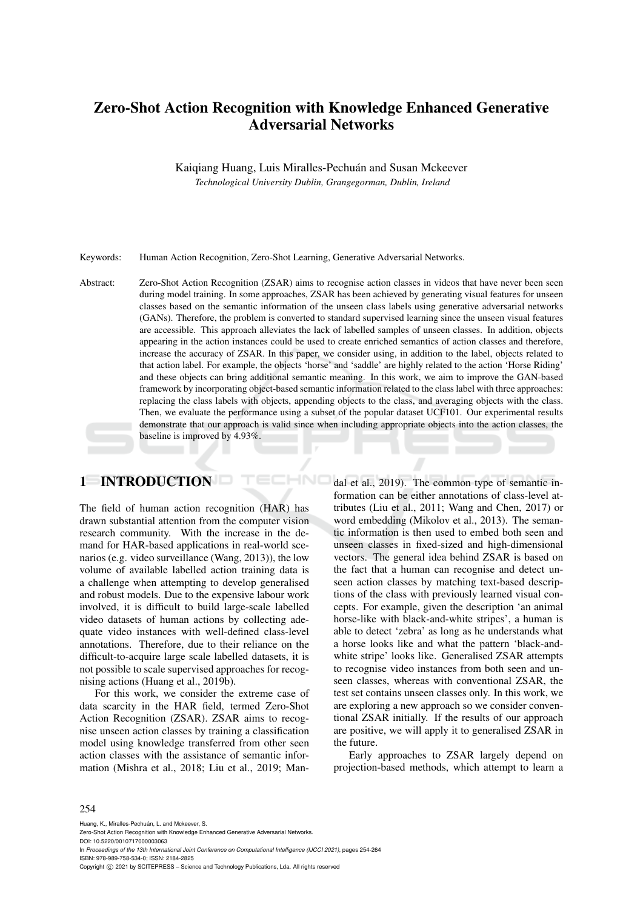# Zero-Shot Action Recognition with Knowledge Enhanced Generative Adversarial Networks

Kaiqiang Huang, Luis Miralles-Pechuán and Susan Mckeever *Technological University Dublin, Grangegorman, Dublin, Ireland*

Keywords: Human Action Recognition, Zero-Shot Learning, Generative Adversarial Networks.

Abstract: Zero-Shot Action Recognition (ZSAR) aims to recognise action classes in videos that have never been seen during model training. In some approaches, ZSAR has been achieved by generating visual features for unseen classes based on the semantic information of the unseen class labels using generative adversarial networks (GANs). Therefore, the problem is converted to standard supervised learning since the unseen visual features are accessible. This approach alleviates the lack of labelled samples of unseen classes. In addition, objects appearing in the action instances could be used to create enriched semantics of action classes and therefore, increase the accuracy of ZSAR. In this paper, we consider using, in addition to the label, objects related to that action label. For example, the objects 'horse' and 'saddle' are highly related to the action 'Horse Riding' and these objects can bring additional semantic meaning. In this work, we aim to improve the GAN-based framework by incorporating object-based semantic information related to the class label with three approaches: replacing the class labels with objects, appending objects to the class, and averaging objects with the class. Then, we evaluate the performance using a subset of the popular dataset UCF101. Our experimental results demonstrate that our approach is valid since when including appropriate objects into the action classes, the baseline is improved by 4.93%.

HNC

## 1 INTRODUCTION

The field of human action recognition (HAR) has drawn substantial attention from the computer vision research community. With the increase in the demand for HAR-based applications in real-world scenarios (e.g. video surveillance (Wang, 2013)), the low volume of available labelled action training data is a challenge when attempting to develop generalised and robust models. Due to the expensive labour work involved, it is difficult to build large-scale labelled video datasets of human actions by collecting adequate video instances with well-defined class-level annotations. Therefore, due to their reliance on the difficult-to-acquire large scale labelled datasets, it is not possible to scale supervised approaches for recognising actions (Huang et al., 2019b).

For this work, we consider the extreme case of data scarcity in the HAR field, termed Zero-Shot Action Recognition (ZSAR). ZSAR aims to recognise unseen action classes by training a classification model using knowledge transferred from other seen action classes with the assistance of semantic information (Mishra et al., 2018; Liu et al., 2019; Mandal et al., 2019). The common type of semantic information can be either annotations of class-level attributes (Liu et al., 2011; Wang and Chen, 2017) or word embedding (Mikolov et al., 2013). The semantic information is then used to embed both seen and unseen classes in fixed-sized and high-dimensional vectors. The general idea behind ZSAR is based on the fact that a human can recognise and detect unseen action classes by matching text-based descriptions of the class with previously learned visual concepts. For example, given the description 'an animal horse-like with black-and-white stripes', a human is able to detect 'zebra' as long as he understands what a horse looks like and what the pattern 'black-andwhite stripe' looks like. Generalised ZSAR attempts to recognise video instances from both seen and unseen classes, whereas with conventional ZSAR, the test set contains unseen classes only. In this work, we are exploring a new approach so we consider conventional ZSAR initially. If the results of our approach are positive, we will apply it to generalised ZSAR in the future.

Early approaches to ZSAR largely depend on projection-based methods, which attempt to learn a

#### 254

Huang, K., Miralles-Pechuán, L. and Mckeever, S. Zero-Shot Action Recognition with Knowledge Enhanced Generative Adversarial Networks. DOI: 10.5220/0010717000003063 In *Proceedings of the 13th International Joint Conference on Computational Intelligence (IJCCI 2021)*, pages 254-264 ISBN: 978-989-758-534-0; ISSN: 2184-2825 Copyright (C) 2021 by SCITEPRESS - Science and Technology Publications, Lda. All rights reserved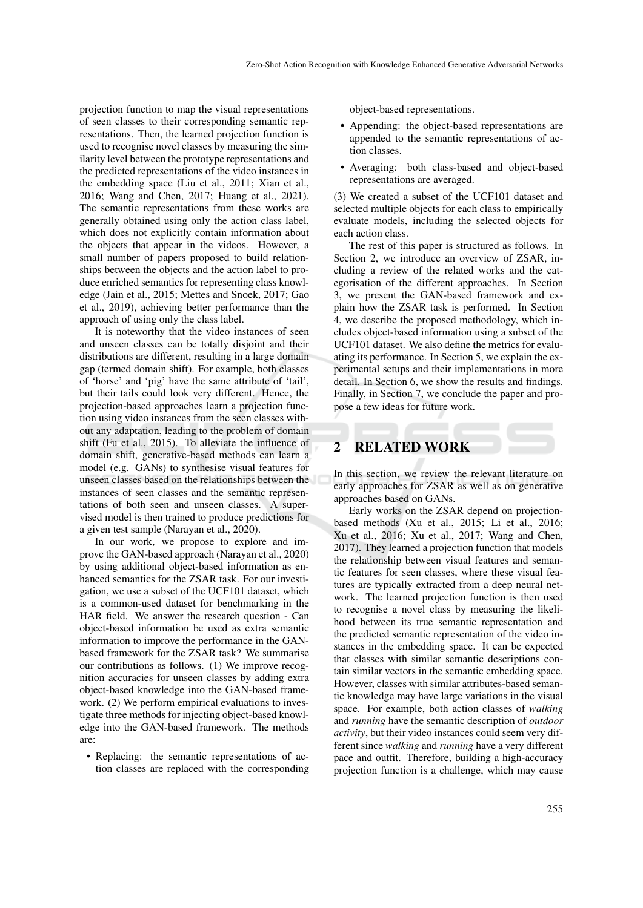projection function to map the visual representations of seen classes to their corresponding semantic representations. Then, the learned projection function is used to recognise novel classes by measuring the similarity level between the prototype representations and the predicted representations of the video instances in the embedding space (Liu et al., 2011; Xian et al., 2016; Wang and Chen, 2017; Huang et al., 2021). The semantic representations from these works are generally obtained using only the action class label, which does not explicitly contain information about the objects that appear in the videos. However, a small number of papers proposed to build relationships between the objects and the action label to produce enriched semantics for representing class knowledge (Jain et al., 2015; Mettes and Snoek, 2017; Gao et al., 2019), achieving better performance than the approach of using only the class label.

It is noteworthy that the video instances of seen and unseen classes can be totally disjoint and their distributions are different, resulting in a large domain gap (termed domain shift). For example, both classes of 'horse' and 'pig' have the same attribute of 'tail', but their tails could look very different. Hence, the projection-based approaches learn a projection function using video instances from the seen classes without any adaptation, leading to the problem of domain shift (Fu et al., 2015). To alleviate the influence of domain shift, generative-based methods can learn a model (e.g. GANs) to synthesise visual features for unseen classes based on the relationships between the instances of seen classes and the semantic representations of both seen and unseen classes. A supervised model is then trained to produce predictions for a given test sample (Narayan et al., 2020).

In our work, we propose to explore and improve the GAN-based approach (Narayan et al., 2020) by using additional object-based information as enhanced semantics for the ZSAR task. For our investigation, we use a subset of the UCF101 dataset, which is a common-used dataset for benchmarking in the HAR field. We answer the research question - Can object-based information be used as extra semantic information to improve the performance in the GANbased framework for the ZSAR task? We summarise our contributions as follows. (1) We improve recognition accuracies for unseen classes by adding extra object-based knowledge into the GAN-based framework. (2) We perform empirical evaluations to investigate three methods for injecting object-based knowledge into the GAN-based framework. The methods are:

• Replacing: the semantic representations of action classes are replaced with the corresponding object-based representations.

- Appending: the object-based representations are appended to the semantic representations of action classes.
- Averaging: both class-based and object-based representations are averaged.

(3) We created a subset of the UCF101 dataset and selected multiple objects for each class to empirically evaluate models, including the selected objects for each action class.

The rest of this paper is structured as follows. In Section 2, we introduce an overview of ZSAR, including a review of the related works and the categorisation of the different approaches. In Section 3, we present the GAN-based framework and explain how the ZSAR task is performed. In Section 4, we describe the proposed methodology, which includes object-based information using a subset of the UCF101 dataset. We also define the metrics for evaluating its performance. In Section 5, we explain the experimental setups and their implementations in more detail. In Section 6, we show the results and findings. Finally, in Section 7, we conclude the paper and propose a few ideas for future work.

## 2 RELATED WORK

In this section, we review the relevant literature on early approaches for ZSAR as well as on generative approaches based on GANs.

Early works on the ZSAR depend on projectionbased methods (Xu et al., 2015; Li et al., 2016; Xu et al., 2016; Xu et al., 2017; Wang and Chen, 2017). They learned a projection function that models the relationship between visual features and semantic features for seen classes, where these visual features are typically extracted from a deep neural network. The learned projection function is then used to recognise a novel class by measuring the likelihood between its true semantic representation and the predicted semantic representation of the video instances in the embedding space. It can be expected that classes with similar semantic descriptions contain similar vectors in the semantic embedding space. However, classes with similar attributes-based semantic knowledge may have large variations in the visual space. For example, both action classes of *walking* and *running* have the semantic description of *outdoor activity*, but their video instances could seem very different since *walking* and *running* have a very different pace and outfit. Therefore, building a high-accuracy projection function is a challenge, which may cause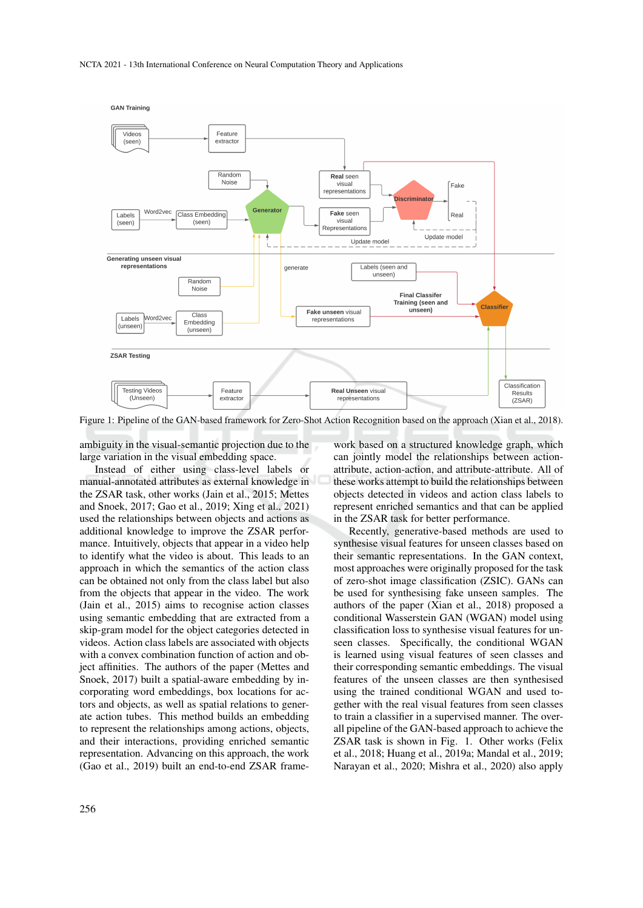

Figure 1: Pipeline of the GAN-based framework for Zero-Shot Action Recognition based on the approach (Xian et al., 2018).

ambiguity in the visual-semantic projection due to the large variation in the visual embedding space.

Instead of either using class-level labels or manual-annotated attributes as external knowledge in the ZSAR task, other works (Jain et al., 2015; Mettes and Snoek, 2017; Gao et al., 2019; Xing et al., 2021) used the relationships between objects and actions as additional knowledge to improve the ZSAR performance. Intuitively, objects that appear in a video help to identify what the video is about. This leads to an approach in which the semantics of the action class can be obtained not only from the class label but also from the objects that appear in the video. The work (Jain et al., 2015) aims to recognise action classes using semantic embedding that are extracted from a skip-gram model for the object categories detected in videos. Action class labels are associated with objects with a convex combination function of action and object affinities. The authors of the paper (Mettes and Snoek, 2017) built a spatial-aware embedding by incorporating word embeddings, box locations for actors and objects, as well as spatial relations to generate action tubes. This method builds an embedding to represent the relationships among actions, objects, and their interactions, providing enriched semantic representation. Advancing on this approach, the work (Gao et al., 2019) built an end-to-end ZSAR frame-

work based on a structured knowledge graph, which can jointly model the relationships between actionattribute, action-action, and attribute-attribute. All of these works attempt to build the relationships between objects detected in videos and action class labels to represent enriched semantics and that can be applied in the ZSAR task for better performance.

Recently, generative-based methods are used to synthesise visual features for unseen classes based on their semantic representations. In the GAN context, most approaches were originally proposed for the task of zero-shot image classification (ZSIC). GANs can be used for synthesising fake unseen samples. The authors of the paper (Xian et al., 2018) proposed a conditional Wasserstein GAN (WGAN) model using classification loss to synthesise visual features for unseen classes. Specifically, the conditional WGAN is learned using visual features of seen classes and their corresponding semantic embeddings. The visual features of the unseen classes are then synthesised using the trained conditional WGAN and used together with the real visual features from seen classes to train a classifier in a supervised manner. The overall pipeline of the GAN-based approach to achieve the ZSAR task is shown in Fig. 1. Other works (Felix et al., 2018; Huang et al., 2019a; Mandal et al., 2019; Narayan et al., 2020; Mishra et al., 2020) also apply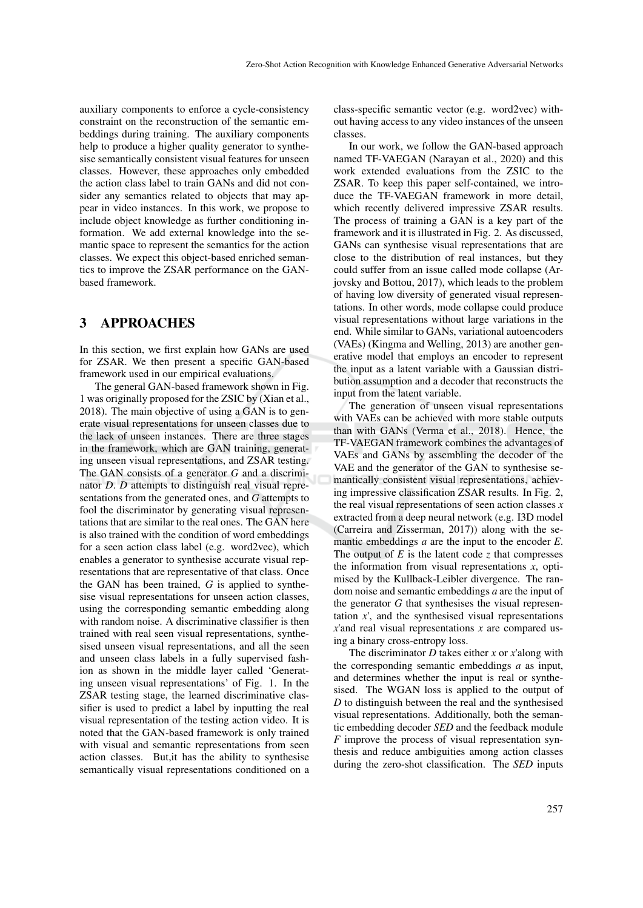auxiliary components to enforce a cycle-consistency constraint on the reconstruction of the semantic embeddings during training. The auxiliary components help to produce a higher quality generator to synthesise semantically consistent visual features for unseen classes. However, these approaches only embedded the action class label to train GANs and did not consider any semantics related to objects that may appear in video instances. In this work, we propose to include object knowledge as further conditioning information. We add external knowledge into the semantic space to represent the semantics for the action classes. We expect this object-based enriched semantics to improve the ZSAR performance on the GANbased framework.

## 3 APPROACHES

In this section, we first explain how GANs are used for ZSAR. We then present a specific GAN-based framework used in our empirical evaluations.

The general GAN-based framework shown in Fig. 1 was originally proposed for the ZSIC by (Xian et al., 2018). The main objective of using a GAN is to generate visual representations for unseen classes due to the lack of unseen instances. There are three stages in the framework, which are GAN training, generating unseen visual representations, and ZSAR testing. The GAN consists of a generator *G* and a discriminator *D*. *D* attempts to distinguish real visual representations from the generated ones, and *G* attempts to fool the discriminator by generating visual representations that are similar to the real ones. The GAN here is also trained with the condition of word embeddings for a seen action class label (e.g. word2vec), which enables a generator to synthesise accurate visual representations that are representative of that class. Once the GAN has been trained, *G* is applied to synthesise visual representations for unseen action classes, using the corresponding semantic embedding along with random noise. A discriminative classifier is then trained with real seen visual representations, synthesised unseen visual representations, and all the seen and unseen class labels in a fully supervised fashion as shown in the middle layer called 'Generating unseen visual representations' of Fig. 1. In the ZSAR testing stage, the learned discriminative classifier is used to predict a label by inputting the real visual representation of the testing action video. It is noted that the GAN-based framework is only trained with visual and semantic representations from seen action classes. But,it has the ability to synthesise semantically visual representations conditioned on a

class-specific semantic vector (e.g. word2vec) without having access to any video instances of the unseen classes.

In our work, we follow the GAN-based approach named TF-VAEGAN (Narayan et al., 2020) and this work extended evaluations from the ZSIC to the ZSAR. To keep this paper self-contained, we introduce the TF-VAEGAN framework in more detail, which recently delivered impressive ZSAR results. The process of training a GAN is a key part of the framework and it is illustrated in Fig. 2. As discussed, GANs can synthesise visual representations that are close to the distribution of real instances, but they could suffer from an issue called mode collapse (Arjovsky and Bottou, 2017), which leads to the problem of having low diversity of generated visual representations. In other words, mode collapse could produce visual representations without large variations in the end. While similar to GANs, variational autoencoders (VAEs) (Kingma and Welling, 2013) are another generative model that employs an encoder to represent the input as a latent variable with a Gaussian distribution assumption and a decoder that reconstructs the input from the latent variable.

The generation of unseen visual representations with VAEs can be achieved with more stable outputs than with GANs (Verma et al., 2018). Hence, the TF-VAEGAN framework combines the advantages of VAEs and GANs by assembling the decoder of the VAE and the generator of the GAN to synthesise semantically consistent visual representations, achieving impressive classification ZSAR results. In Fig. 2, the real visual representations of seen action classes *x* extracted from a deep neural network (e.g. I3D model (Carreira and Zisserman, 2017)) along with the semantic embeddings *a* are the input to the encoder *E*. The output of  $E$  is the latent code  $\zeta$  that compresses the information from visual representations *x*, optimised by the Kullback-Leibler divergence. The random noise and semantic embeddings *a* are the input of the generator *G* that synthesises the visual representation *x*', and the synthesised visual representations *x*'and real visual representations *x* are compared using a binary cross-entropy loss.

The discriminator *D* takes either *x* or *x*'along with the corresponding semantic embeddings *a* as input, and determines whether the input is real or synthesised. The WGAN loss is applied to the output of *D* to distinguish between the real and the synthesised visual representations. Additionally, both the semantic embedding decoder *SED* and the feedback module *F* improve the process of visual representation synthesis and reduce ambiguities among action classes during the zero-shot classification. The *SED* inputs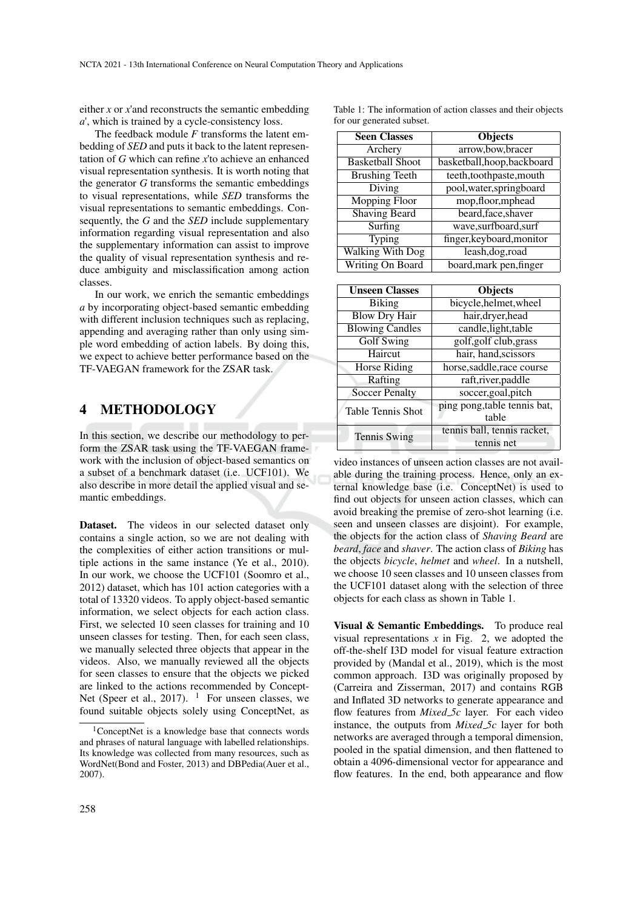either *x* or *x*'and reconstructs the semantic embedding *a*', which is trained by a cycle-consistency loss.

The feedback module *F* transforms the latent embedding of *SED* and puts it back to the latent representation of *G* which can refine *x*'to achieve an enhanced visual representation synthesis. It is worth noting that the generator *G* transforms the semantic embeddings to visual representations, while *SED* transforms the visual representations to semantic embeddings. Consequently, the *G* and the *SED* include supplementary information regarding visual representation and also the supplementary information can assist to improve the quality of visual representation synthesis and reduce ambiguity and misclassification among action classes.

In our work, we enrich the semantic embeddings *a* by incorporating object-based semantic embedding with different inclusion techniques such as replacing, appending and averaging rather than only using simple word embedding of action labels. By doing this, we expect to achieve better performance based on the TF-VAEGAN framework for the ZSAR task.

#### 4 METHODOLOGY

In this section, we describe our methodology to perform the ZSAR task using the TF-VAEGAN framework with the inclusion of object-based semantics on a subset of a benchmark dataset (i.e. UCF101). We also describe in more detail the applied visual and semantic embeddings.

Dataset. The videos in our selected dataset only contains a single action, so we are not dealing with the complexities of either action transitions or multiple actions in the same instance (Ye et al., 2010). In our work, we choose the UCF101 (Soomro et al., 2012) dataset, which has 101 action categories with a total of 13320 videos. To apply object-based semantic information, we select objects for each action class. First, we selected 10 seen classes for training and 10 unseen classes for testing. Then, for each seen class, we manually selected three objects that appear in the videos. Also, we manually reviewed all the objects for seen classes to ensure that the objects we picked are linked to the actions recommended by Concept-Net (Speer et al., 2017). <sup>1</sup> For unseen classes, we found suitable objects solely using ConceptNet, as Table 1: The information of action classes and their objects for our generated subset.

| <b>Seen Classes</b>     | <b>Objects</b>              |
|-------------------------|-----------------------------|
| Archery                 | arrow,bow,bracer            |
| <b>Basketball Shoot</b> | basketball, hoop, backboard |
| <b>Brushing Teeth</b>   | teeth,toothpaste,mouth      |
| Diving                  | pool, water, springboard    |
| <b>Mopping Floor</b>    | mop, floor, mphead          |
| <b>Shaving Beard</b>    | beard, face, shaver         |
| Surfing                 | wave,surfboard,surf         |
| Typing                  | finger, keyboard, monitor   |
| <b>Walking With Dog</b> | leash, dog, road            |
| Writing On Board        | board, mark pen, finger     |

| <b>Unseen Classes</b>  | <b>Objects</b>               |
|------------------------|------------------------------|
| Biking                 | bicycle, helmet, wheel       |
| <b>Blow Dry Hair</b>   | hair, dryer, head            |
| <b>Blowing Candles</b> | candle, light, table         |
| <b>Golf Swing</b>      | golf, golf club, grass       |
| Haircut                | hair, hand, scissors         |
| Horse Riding           | horse, saddle, race course   |
| Rafting                | raft, river, paddle          |
| <b>Soccer Penalty</b>  | soccer, goal, pitch          |
| Table Tennis Shot      | ping pong, table tennis bat, |
|                        | table                        |
| <b>Tennis Swing</b>    | tennis ball, tennis racket,  |
|                        | tennis net                   |

video instances of unseen action classes are not available during the training process. Hence, only an external knowledge base (i.e. ConceptNet) is used to find out objects for unseen action classes, which can avoid breaking the premise of zero-shot learning (i.e. seen and unseen classes are disjoint). For example, the objects for the action class of *Shaving Beard* are *beard*, *face* and *shaver*. The action class of *Biking* has the objects *bicycle*, *helmet* and *wheel*. In a nutshell, we choose 10 seen classes and 10 unseen classes from the UCF101 dataset along with the selection of three objects for each class as shown in Table 1.

Visual & Semantic Embeddings. To produce real visual representations  $x$  in Fig. 2, we adopted the off-the-shelf I3D model for visual feature extraction provided by (Mandal et al., 2019), which is the most common approach. I3D was originally proposed by (Carreira and Zisserman, 2017) and contains RGB and Inflated 3D networks to generate appearance and flow features from *Mixed 5c* layer. For each video instance, the outputs from *Mixed 5c* layer for both networks are averaged through a temporal dimension, pooled in the spatial dimension, and then flattened to obtain a 4096-dimensional vector for appearance and flow features. In the end, both appearance and flow

<sup>1</sup>ConceptNet is a knowledge base that connects words and phrases of natural language with labelled relationships. Its knowledge was collected from many resources, such as WordNet(Bond and Foster, 2013) and DBPedia(Auer et al., 2007).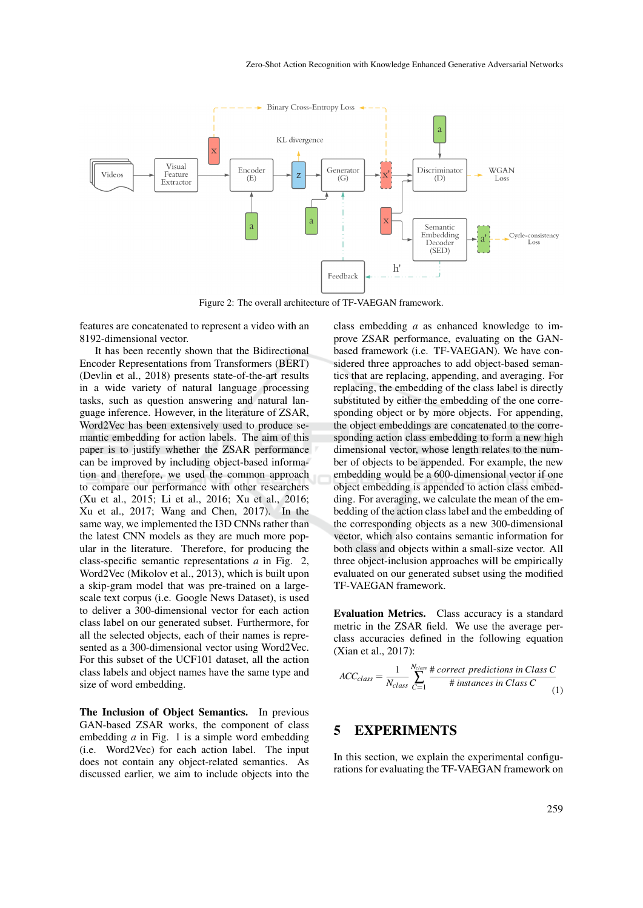

Figure 2: The overall architecture of TF-VAEGAN framework.

features are concatenated to represent a video with an 8192-dimensional vector.

It has been recently shown that the Bidirectional Encoder Representations from Transformers (BERT) (Devlin et al., 2018) presents state-of-the-art results in a wide variety of natural language processing tasks, such as question answering and natural language inference. However, in the literature of ZSAR, Word2Vec has been extensively used to produce semantic embedding for action labels. The aim of this paper is to justify whether the ZSAR performance can be improved by including object-based information and therefore, we used the common approach to compare our performance with other researchers (Xu et al., 2015; Li et al., 2016; Xu et al., 2016; Xu et al., 2017; Wang and Chen, 2017). In the same way, we implemented the I3D CNNs rather than the latest CNN models as they are much more popular in the literature. Therefore, for producing the class-specific semantic representations *a* in Fig. 2, Word2Vec (Mikolov et al., 2013), which is built upon a skip-gram model that was pre-trained on a largescale text corpus (i.e. Google News Dataset), is used to deliver a 300-dimensional vector for each action class label on our generated subset. Furthermore, for all the selected objects, each of their names is represented as a 300-dimensional vector using Word2Vec. For this subset of the UCF101 dataset, all the action class labels and object names have the same type and size of word embedding.

The Inclusion of Object Semantics. In previous GAN-based ZSAR works, the component of class embedding *a* in Fig. 1 is a simple word embedding (i.e. Word2Vec) for each action label. The input does not contain any object-related semantics. As discussed earlier, we aim to include objects into the class embedding *a* as enhanced knowledge to improve ZSAR performance, evaluating on the GANbased framework (i.e. TF-VAEGAN). We have considered three approaches to add object-based semantics that are replacing, appending, and averaging. For replacing, the embedding of the class label is directly substituted by either the embedding of the one corresponding object or by more objects. For appending, the object embeddings are concatenated to the corresponding action class embedding to form a new high dimensional vector, whose length relates to the number of objects to be appended. For example, the new embedding would be a 600-dimensional vector if one object embedding is appended to action class embedding. For averaging, we calculate the mean of the embedding of the action class label and the embedding of the corresponding objects as a new 300-dimensional vector, which also contains semantic information for both class and objects within a small-size vector. All three object-inclusion approaches will be empirically evaluated on our generated subset using the modified TF-VAEGAN framework.

Evaluation Metrics. Class accuracy is a standard metric in the ZSAR field. We use the average perclass accuracies defined in the following equation (Xian et al., 2017):

$$
ACC_{class} = \frac{1}{N_{class}} \sum_{C=1}^{N_{class}} \frac{\# correct\ predictions\ in\ Class\ C}{\# \ instances\ in\ Class\ C} \frac{1}{(1)}
$$

## 5 EXPERIMENTS

In this section, we explain the experimental configurations for evaluating the TF-VAEGAN framework on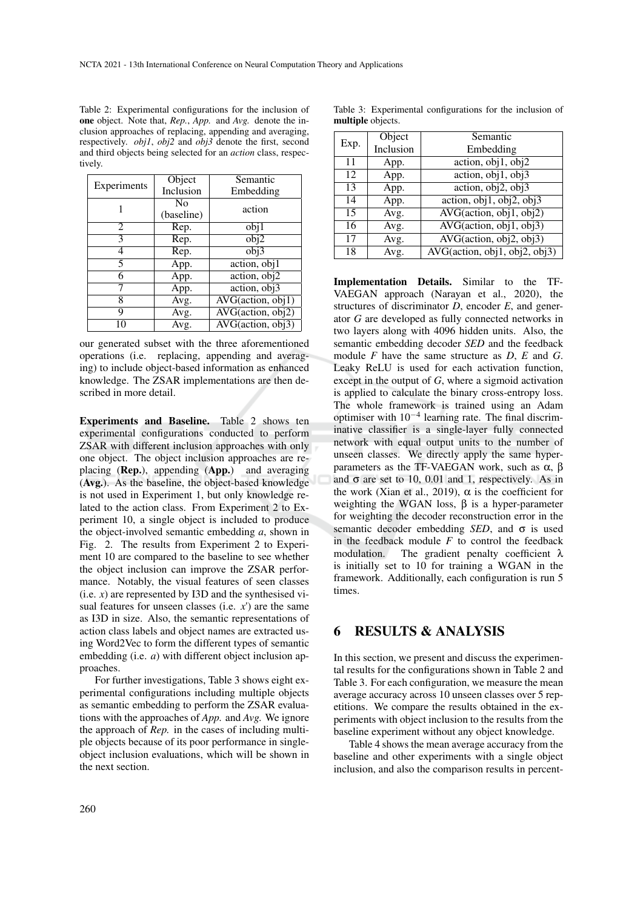| Table 2: Experimental configurations for the inclusion of                              |
|----------------------------------------------------------------------------------------|
| <b>one</b> object. Note that, <i>Rep.</i> , <i>App.</i> and <i>Avg.</i> denote the in- |
| clusion approaches of replacing, appending and averaging,                              |
| respectively. <i>obil, obil</i> and <i>obil</i> denote the first, second               |
| and third objects being selected for an <i>action</i> class, respec-                   |
| tively.                                                                                |

|             | Object     | Semantic                                               |
|-------------|------------|--------------------------------------------------------|
| Experiments | Inclusion  | Embedding                                              |
|             | No         | action                                                 |
|             | (baseline) |                                                        |
| 2           | Rep.       | obj1                                                   |
| 3           | Rep.       | obj2                                                   |
| 4           | Rep.       | obj3                                                   |
| 5           | App.       | $\overline{\text{action}}$ , $\overline{\text{obj}}$ 1 |
| 6           | App.       | action, obj2                                           |
|             | App.       | action, obj3                                           |
| 8           | Avg.       | $AVG(\text{action}, \overline{obj1})$                  |
| 9           | Avg.       | $\overline{\text{AVG}(action, obj2)}$                  |
|             | Avg.       | AVG(action, obj3)                                      |

our generated subset with the three aforementioned operations (i.e. replacing, appending and averaging) to include object-based information as enhanced knowledge. The ZSAR implementations are then described in more detail.

Experiments and Baseline. Table 2 shows ten experimental configurations conducted to perform ZSAR with different inclusion approaches with only one object. The object inclusion approaches are replacing (Rep.), appending (App.) and averaging (Avg.). As the baseline, the object-based knowledge is not used in Experiment 1, but only knowledge related to the action class. From Experiment 2 to Experiment 10, a single object is included to produce the object-involved semantic embedding *a*, shown in Fig. 2. The results from Experiment 2 to Experiment 10 are compared to the baseline to see whether the object inclusion can improve the ZSAR performance. Notably, the visual features of seen classes  $(i.e. x)$  are represented by I3D and the synthesised visual features for unseen classes (i.e. *x*') are the same as I3D in size. Also, the semantic representations of action class labels and object names are extracted using Word2Vec to form the different types of semantic embedding (i.e. *a*) with different object inclusion approaches.

For further investigations, Table 3 shows eight experimental configurations including multiple objects as semantic embedding to perform the ZSAR evaluations with the approaches of *App.* and *Avg.* We ignore the approach of *Rep.* in the cases of including multiple objects because of its poor performance in singleobject inclusion evaluations, which will be shown in the next section.

|                          | Table 3: Experimental configurations for the inclusion of |  |  |
|--------------------------|-----------------------------------------------------------|--|--|
| <b>multiple</b> objects. |                                                           |  |  |

| Exp. | Object    | Semantic                                             |
|------|-----------|------------------------------------------------------|
|      | Inclusion | Embedding                                            |
| 11   | App.      | $\overline{\text{action}, \text{obj1}, \text{obj2}}$ |
| 12   | App.      | action, $\overline{obj1, obj3}$                      |
| 13   | App.      | action, $\overline{obj2}$ , $\overline{obj3}$        |
| 14   | App.      | action, $obj1$ , $obj2$ , $obj3$                     |
| 15   | Avg.      | $\overline{\text{AVG}(action, obj1, obj2)}$          |
| 16   | Avg.      | AVG(action, obj1, obj3)                              |
| 17   | Avg.      | $\overline{\text{AVG}(action, obj2, obj3)}$          |
| 18   | Avg.      | AVG(action, obj1, obj2, obj3)                        |
|      |           |                                                      |

Implementation Details. Similar to the TF-VAEGAN approach (Narayan et al., 2020), the structures of discriminator *D*, encoder *E*, and generator *G* are developed as fully connected networks in two layers along with 4096 hidden units. Also, the semantic embedding decoder *SED* and the feedback module *F* have the same structure as *D*, *E* and *G*. Leaky ReLU is used for each activation function, except in the output of *G*, where a sigmoid activation is applied to calculate the binary cross-entropy loss. The whole framework is trained using an Adam optimiser with  $10^{-4}$  learning rate. The final discriminative classifier is a single-layer fully connected network with equal output units to the number of unseen classes. We directly apply the same hyperparameters as the TF-VAEGAN work, such as  $\alpha$ , β and  $\sigma$  are set to 10, 0.01 and 1, respectively. As in the work (Xian et al., 2019),  $\alpha$  is the coefficient for weighting the WGAN loss,  $\beta$  is a hyper-parameter for weighting the decoder reconstruction error in the semantic decoder embedding *SED*, and σ is used in the feedback module  $F$  to control the feedback modulation. The gradient penalty coefficient  $\lambda$ is initially set to 10 for training a WGAN in the framework. Additionally, each configuration is run 5 times.

## 6 RESULTS & ANALYSIS

In this section, we present and discuss the experimental results for the configurations shown in Table 2 and Table 3. For each configuration, we measure the mean average accuracy across 10 unseen classes over 5 repetitions. We compare the results obtained in the experiments with object inclusion to the results from the baseline experiment without any object knowledge.

Table 4 shows the mean average accuracy from the baseline and other experiments with a single object inclusion, and also the comparison results in percent-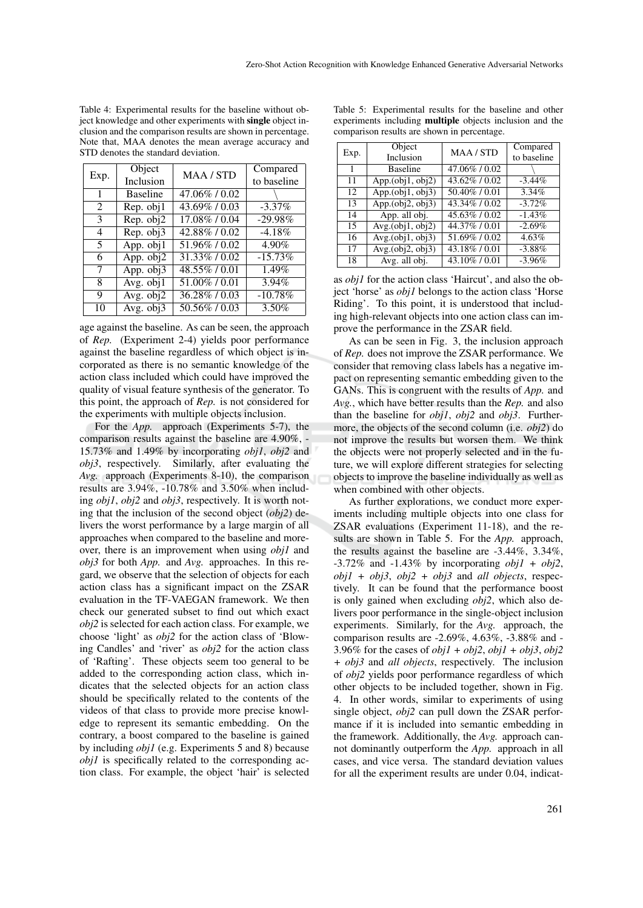Table 4: Experimental results for the baseline without object knowledge and other experiments with single object inclusion and the comparison results are shown in percentage. Note that, MAA denotes the mean average accuracy and STD denotes the standard deviation.

| Exp.         | Object                        | MAA / STD        | Compared    |
|--------------|-------------------------------|------------------|-------------|
|              | Inclusion                     |                  | to baseline |
| $\mathbf{1}$ | <b>Baseline</b>               | 47.06% / 0.02    |             |
| 2            | $\overline{\text{Rep.}}$ obj1 | 43.69% / 0.03    | $-3.37\%$   |
| 3            | $\overline{\text{Rep. obj2}}$ | 17.08% / 0.04    | $-29.98%$   |
| 4            | Rep. obj3                     | 42.88% / 0.02    | $-4.18%$    |
| 5            | App. $\overline{obj1}$        | 51.96% / 0.02    | 4.90%       |
| 6            | App. obj2                     | 31.33%/0.02      | $-15.73%$   |
| $\tau$       | $\overline{App.}$ obj3        | 48.55% / 0.01    | 1.49%       |
| 8            | Avg. $obj1$                   | $51.00\%$ / 0.01 | 3.94%       |
| 9            | $\overline{Avg. obj2}$        | 36.28%/0.03      | $-10.78%$   |
| 10           | Avg. $obj3$                   | 50.56%/0.03      | 3.50%       |

age against the baseline. As can be seen, the approach of *Rep.* (Experiment 2-4) yields poor performance against the baseline regardless of which object is incorporated as there is no semantic knowledge of the action class included which could have improved the quality of visual feature synthesis of the generator. To this point, the approach of *Rep.* is not considered for the experiments with multiple objects inclusion.

For the *App.* approach (Experiments 5-7), the comparison results against the baseline are 4.90%, - 15.73% and 1.49% by incorporating *obj1*, *obj2* and *obj3*, respectively. Similarly, after evaluating the *Avg.* approach (Experiments 8-10), the comparison results are 3.94%, -10.78% and 3.50% when including *obj1*, *obj2* and *obj3*, respectively. It is worth noting that the inclusion of the second object (*obj2*) delivers the worst performance by a large margin of all approaches when compared to the baseline and moreover, there is an improvement when using *obj1* and *obj3* for both *App.* and *Avg.* approaches. In this regard, we observe that the selection of objects for each action class has a significant impact on the ZSAR evaluation in the TF-VAEGAN framework. We then check our generated subset to find out which exact *obj2* is selected for each action class. For example, we choose 'light' as *obj2* for the action class of 'Blowing Candles' and 'river' as *obj2* for the action class of 'Rafting'. These objects seem too general to be added to the corresponding action class, which indicates that the selected objects for an action class should be specifically related to the contents of the videos of that class to provide more precise knowledge to represent its semantic embedding. On the contrary, a boost compared to the baseline is gained by including *obj1* (e.g. Experiments 5 and 8) because *obj1* is specifically related to the corresponding action class. For example, the object 'hair' is selected

Table 5: Experimental results for the baseline and other experiments including multiple objects inclusion and the comparison results are shown in percentage.

| Exp. | Object              | <b>MAA/STD</b> | Compared    |
|------|---------------------|----------------|-------------|
|      | Inclusion           |                | to baseline |
|      | <b>Baseline</b>     | 47.06% / 0.02  |             |
| 11   | App. (obj1, obj2)   | 43.62%/0.02    | $-3.44\%$   |
| 12   | App. $(obj1, obj3)$ | 50.40%/0.01    | 3.34%       |
| 13   | App. $(obj2, obj3)$ | 43.34%/0.02    | $-3.72%$    |
| 14   | App. all obj.       | 45.63%/0.02    | $-1.43%$    |
| 15   | Avg.(obj1, obj2)    | 44.37%/0.01    | $-2.69%$    |
| 16   | Avg.(obj1, obj3)    | 51.69% / 0.02  | 4.63%       |
| 17   | $Avg.$ (obj2, obj3) | 43.18% / 0.01  | $-3.88\%$   |
| 18   | Avg. all obj.       | 43.10%/0.01    | $-3.96%$    |

as *obj1* for the action class 'Haircut', and also the object 'horse' as *obj1* belongs to the action class 'Horse Riding'. To this point, it is understood that including high-relevant objects into one action class can improve the performance in the ZSAR field.

As can be seen in Fig. 3, the inclusion approach of *Rep.* does not improve the ZSAR performance. We consider that removing class labels has a negative impact on representing semantic embedding given to the GANs. This is congruent with the results of *App.* and *Avg.*, which have better results than the *Rep.* and also than the baseline for *obj1*, *obj2* and *obj3*. Furthermore, the objects of the second column (i.e. *obj2*) do not improve the results but worsen them. We think the objects were not properly selected and in the future, we will explore different strategies for selecting objects to improve the baseline individually as well as when combined with other objects.

As further explorations, we conduct more experiments including multiple objects into one class for ZSAR evaluations (Experiment 11-18), and the results are shown in Table 5. For the *App.* approach, the results against the baseline are -3.44%, 3.34%, -3.72% and -1.43% by incorporating *obj1 + obj2*, *obj1 + obj3*, *obj2 + obj3* and *all objects*, respectively. It can be found that the performance boost is only gained when excluding *obj2*, which also delivers poor performance in the single-object inclusion experiments. Similarly, for the *Avg.* approach, the comparison results are -2.69%, 4.63%, -3.88% and - 3.96% for the cases of  $obj1 + obj2$ ,  $obj1 + obj3$ ,  $obj2$ *+ obj3* and *all objects*, respectively. The inclusion of *obj2* yields poor performance regardless of which other objects to be included together, shown in Fig. 4. In other words, similar to experiments of using single object, *obj2* can pull down the ZSAR performance if it is included into semantic embedding in the framework. Additionally, the *Avg.* approach cannot dominantly outperform the *App.* approach in all cases, and vice versa. The standard deviation values for all the experiment results are under 0.04, indicat-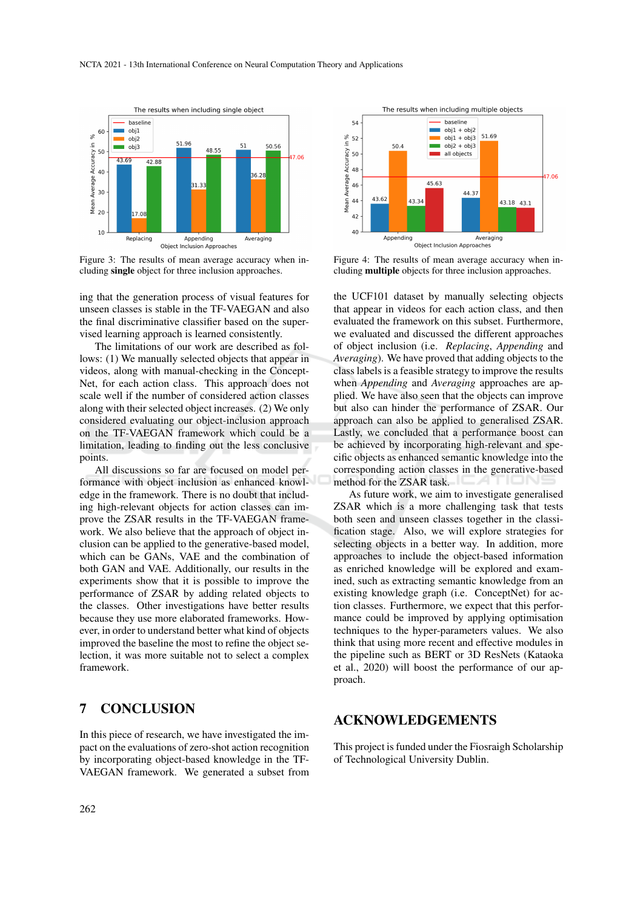

Figure 3: The results of mean average accuracy when including single object for three inclusion approaches.

ing that the generation process of visual features for unseen classes is stable in the TF-VAEGAN and also the final discriminative classifier based on the supervised learning approach is learned consistently.

The limitations of our work are described as follows: (1) We manually selected objects that appear in videos, along with manual-checking in the Concept-Net, for each action class. This approach does not scale well if the number of considered action classes along with their selected object increases. (2) We only considered evaluating our object-inclusion approach on the TF-VAEGAN framework which could be a limitation, leading to finding out the less conclusive points.

All discussions so far are focused on model performance with object inclusion as enhanced knowledge in the framework. There is no doubt that including high-relevant objects for action classes can improve the ZSAR results in the TF-VAEGAN framework. We also believe that the approach of object inclusion can be applied to the generative-based model, which can be GANs, VAE and the combination of both GAN and VAE. Additionally, our results in the experiments show that it is possible to improve the performance of ZSAR by adding related objects to the classes. Other investigations have better results because they use more elaborated frameworks. However, in order to understand better what kind of objects improved the baseline the most to refine the object selection, it was more suitable not to select a complex framework.

## 7 CONCLUSION

In this piece of research, we have investigated the impact on the evaluations of zero-shot action recognition by incorporating object-based knowledge in the TF-VAEGAN framework. We generated a subset from



Figure 4: The results of mean average accuracy when including multiple objects for three inclusion approaches.

the UCF101 dataset by manually selecting objects that appear in videos for each action class, and then evaluated the framework on this subset. Furthermore, we evaluated and discussed the different approaches of object inclusion (i.e. *Replacing*, *Appending* and *Averaging*). We have proved that adding objects to the class labels is a feasible strategy to improve the results when *Appending* and *Averaging* approaches are applied. We have also seen that the objects can improve but also can hinder the performance of ZSAR. Our approach can also be applied to generalised ZSAR. Lastly, we concluded that a performance boost can be achieved by incorporating high-relevant and specific objects as enhanced semantic knowledge into the corresponding action classes in the generative-based method for the ZSAR task.

As future work, we aim to investigate generalised ZSAR which is a more challenging task that tests both seen and unseen classes together in the classification stage. Also, we will explore strategies for selecting objects in a better way. In addition, more approaches to include the object-based information as enriched knowledge will be explored and examined, such as extracting semantic knowledge from an existing knowledge graph (i.e. ConceptNet) for action classes. Furthermore, we expect that this performance could be improved by applying optimisation techniques to the hyper-parameters values. We also think that using more recent and effective modules in the pipeline such as BERT or 3D ResNets (Kataoka et al., 2020) will boost the performance of our approach.

#### ACKNOWLEDGEMENTS

This project is funded under the Fiosraigh Scholarship of Technological University Dublin.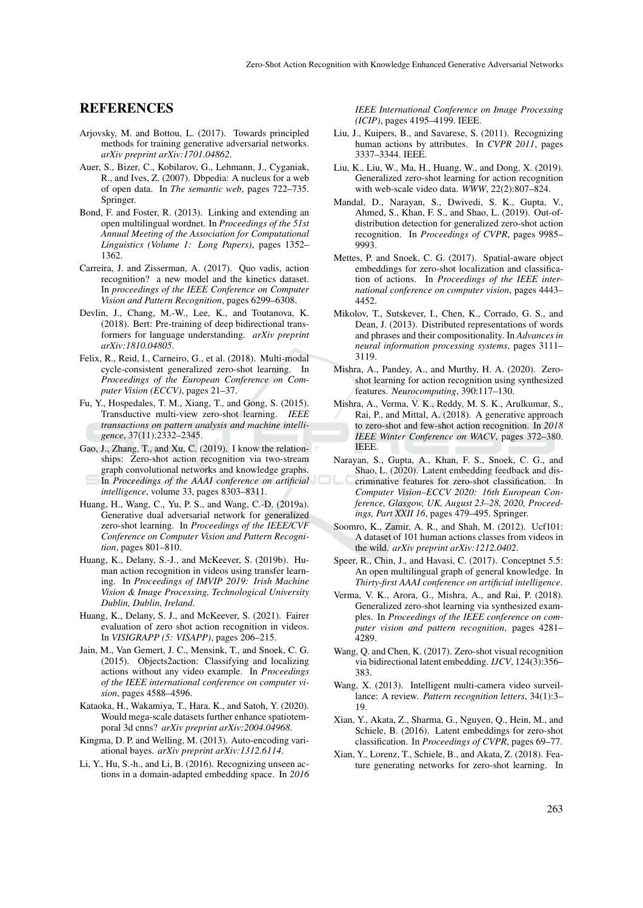#### REFERENCES

- Arjovsky, M. and Bottou, L. (2017). Towards principled methods for training generative adversarial networks. *arXiv preprint arXiv:1701.04862*.
- Auer, S., Bizer, C., Kobilarov, G., Lehmann, J., Cyganiak, R., and Ives, Z. (2007). Dbpedia: A nucleus for a web of open data. In *The semantic web*, pages 722–735. Springer.
- Bond, F. and Foster, R. (2013). Linking and extending an open multilingual wordnet. In *Proceedings of the 51st Annual Meeting of the Association for Computational Linguistics (Volume 1: Long Papers)*, pages 1352– 1362.
- Carreira, J. and Zisserman, A. (2017). Quo vadis, action recognition? a new model and the kinetics dataset. In *proceedings of the IEEE Conference on Computer Vision and Pattern Recognition*, pages 6299–6308.
- Devlin, J., Chang, M.-W., Lee, K., and Toutanova, K. (2018). Bert: Pre-training of deep bidirectional transformers for language understanding. *arXiv preprint arXiv:1810.04805*.
- Felix, R., Reid, I., Carneiro, G., et al. (2018). Multi-modal cycle-consistent generalized zero-shot learning. In *Proceedings of the European Conference on Computer Vision (ECCV)*, pages 21–37.
- Fu, Y., Hospedales, T. M., Xiang, T., and Gong, S. (2015). Transductive multi-view zero-shot learning. *IEEE transactions on pattern analysis and machine intelligence*, 37(11):2332–2345.
- Gao, J., Zhang, T., and Xu, C. (2019). I know the relationships: Zero-shot action recognition via two-stream graph convolutional networks and knowledge graphs. In *Proceedings of the AAAI conference on artificial intelligence*, volume 33, pages 8303–8311.
- Huang, H., Wang, C., Yu, P. S., and Wang, C.-D. (2019a). Generative dual adversarial network for generalized zero-shot learning. In *Proceedings of the IEEE/CVF Conference on Computer Vision and Pattern Recognition*, pages 801–810.
- Huang, K., Delany, S.-J., and McKeever, S. (2019b). Human action recognition in videos using transfer learning. In *Proceedings of IMVIP 2019: Irish Machine Vision & Image Processing, Technological University Dublin, Dublin, Ireland*.
- Huang, K., Delany, S. J., and McKeever, S. (2021). Fairer evaluation of zero shot action recognition in videos. In *VISIGRAPP (5: VISAPP)*, pages 206–215.
- Jain, M., Van Gemert, J. C., Mensink, T., and Snoek, C. G. (2015). Objects2action: Classifying and localizing actions without any video example. In *Proceedings of the IEEE international conference on computer vision*, pages 4588–4596.
- Kataoka, H., Wakamiya, T., Hara, K., and Satoh, Y. (2020). Would mega-scale datasets further enhance spatiotemporal 3d cnns? *arXiv preprint arXiv:2004.04968*.
- Kingma, D. P. and Welling, M. (2013). Auto-encoding variational bayes. *arXiv preprint arXiv:1312.6114*.
- Li, Y., Hu, S.-h., and Li, B. (2016). Recognizing unseen actions in a domain-adapted embedding space. In *2016*

*IEEE International Conference on Image Processing (ICIP)*, pages 4195–4199. IEEE.

- Liu, J., Kuipers, B., and Savarese, S. (2011). Recognizing human actions by attributes. In *CVPR 2011*, pages 3337–3344. IEEE.
- Liu, K., Liu, W., Ma, H., Huang, W., and Dong, X. (2019). Generalized zero-shot learning for action recognition with web-scale video data. *WWW*, 22(2):807–824.
- Mandal, D., Narayan, S., Dwivedi, S. K., Gupta, V., Ahmed, S., Khan, F. S., and Shao, L. (2019). Out-ofdistribution detection for generalized zero-shot action recognition. In *Proceedings of CVPR*, pages 9985– 9993.
- Mettes, P. and Snoek, C. G. (2017). Spatial-aware object embeddings for zero-shot localization and classification of actions. In *Proceedings of the IEEE international conference on computer vision*, pages 4443– 4452.
- Mikolov, T., Sutskever, I., Chen, K., Corrado, G. S., and Dean, J. (2013). Distributed representations of words and phrases and their compositionality. In *Advances in neural information processing systems*, pages 3111– 3119.
- Mishra, A., Pandey, A., and Murthy, H. A. (2020). Zeroshot learning for action recognition using synthesized features. *Neurocomputing*, 390:117–130.
- Mishra, A., Verma, V. K., Reddy, M. S. K., Arulkumar, S., Rai, P., and Mittal, A. (2018). A generative approach to zero-shot and few-shot action recognition. In *2018 IEEE Winter Conference on WACV*, pages 372–380. IEEE.
- Narayan, S., Gupta, A., Khan, F. S., Snoek, C. G., and Shao, L. (2020). Latent embedding feedback and discriminative features for zero-shot classification. In *Computer Vision–ECCV 2020: 16th European Conference, Glasgow, UK, August 23–28, 2020, Proceedings, Part XXII 16*, pages 479–495. Springer.
- Soomro, K., Zamir, A. R., and Shah, M. (2012). Ucf101: A dataset of 101 human actions classes from videos in the wild. *arXiv preprint arXiv:1212.0402*.
- Speer, R., Chin, J., and Havasi, C. (2017). Conceptnet 5.5: An open multilingual graph of general knowledge. In *Thirty-first AAAI conference on artificial intelligence*.
- Verma, V. K., Arora, G., Mishra, A., and Rai, P. (2018). Generalized zero-shot learning via synthesized examples. In *Proceedings of the IEEE conference on computer vision and pattern recognition*, pages 4281– 4289.
- Wang, Q. and Chen, K. (2017). Zero-shot visual recognition via bidirectional latent embedding. *IJCV*, 124(3):356– 383.
- Wang, X. (2013). Intelligent multi-camera video surveillance: A review. *Pattern recognition letters*, 34(1):3– 19.
- Xian, Y., Akata, Z., Sharma, G., Nguyen, Q., Hein, M., and Schiele, B. (2016). Latent embeddings for zero-shot classification. In *Proceedings of CVPR*, pages 69–77.
- Xian, Y., Lorenz, T., Schiele, B., and Akata, Z. (2018). Feature generating networks for zero-shot learning. In